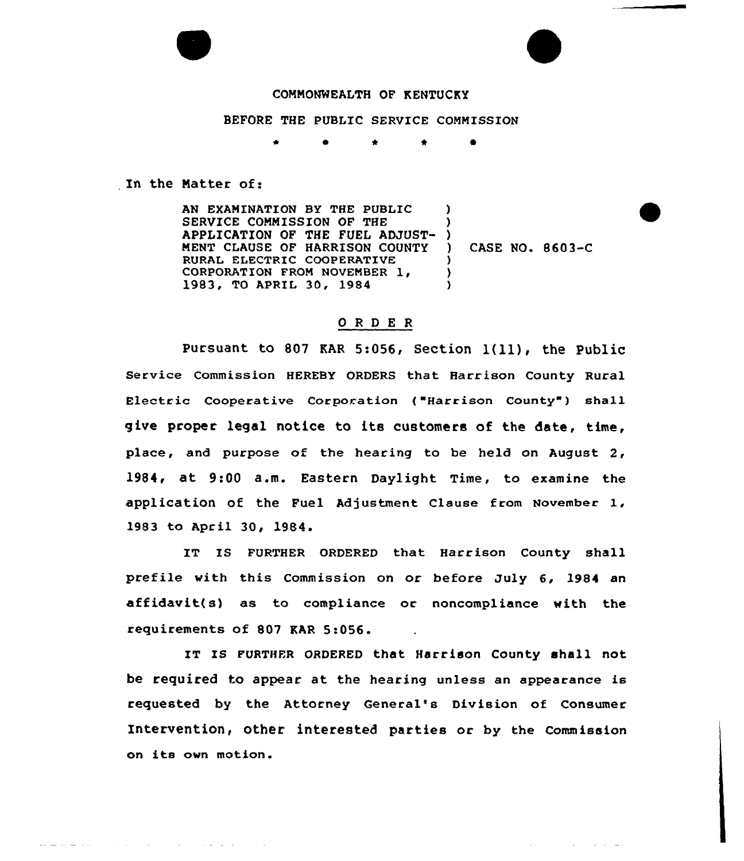### COMMONWEALTH OF KENTUCKY

#### BEFORE THE PUBLIC SERVICE COMMISSION

0 \* \*

In the Natter of:

AN EXAMINATION BY THE PUBLIC SERVICE CONNISSION OF THE APPLICATION OF THE FUEL ADJUST-MENT CLAUSE OF HARRISON COUNTY RURAL ELECTRIC COOPERATIVE CORPORATION FROM NOVEMBER 1, 1983, TO APRIL 30, <sup>1984</sup>  $\lambda$ ) ) ) CASE NO. 8603-C  $\left\{ \right\}$  $\lambda$ 

## 0 <sup>R</sup> <sup>D</sup> E <sup>R</sup>

Pursuant to <sup>807</sup> KAR 5:056, Section l(ll), the Public Service Commission HEREBY ORDERS that. Harrison County Rural Electric Cooperative Corporation ("Harrison County") shall give proper legal notice to its customers of the date, time, place, and purpose of the hearing to be held on August 2, 1984, at 9:00 a.m. Eastern Daylight Time, to examine the application of the Fuel Adjustment Clause from November I. 1983 to April 30, 1984

IT IS FURTHER ORDERED that Harrison County shall prefile with this Commission on or before July 6, 1984 an affidavit(s) as to compliance or noncompliance with the requirements of 807 KAR 5:056.

IT IS FURTHER ORDERED that Harrison County shall not be required to appear at the hearing unless an appearance is requested by the Attorney General's Division of Consumer Intervention, other interested parties or by the Commission on its own motion.